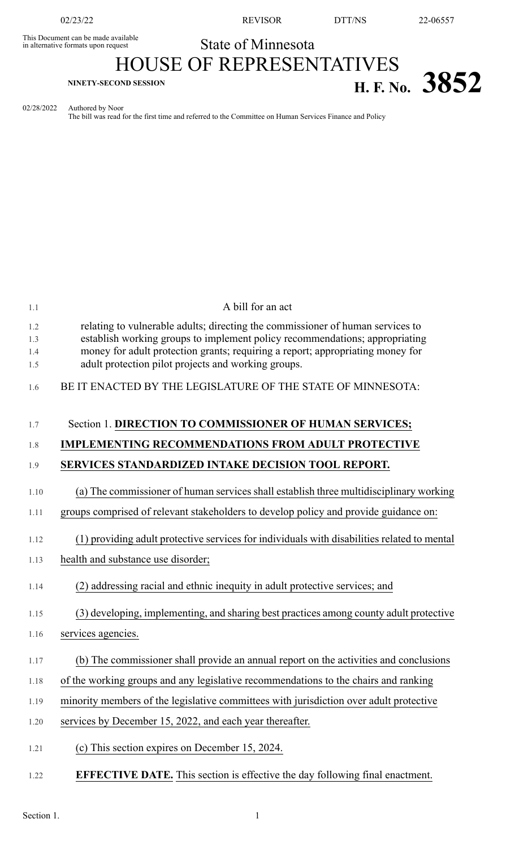This Document can be made available<br>in alternative formats upon request

02/23/22 REVISOR DTT/NS 22-06557

## State of Minnesota

## HOUSE OF REPRESENTATIVES **H. F. NO.** 3852

02/28/2022 Authored by Noor

The bill was read for the first time and referred to the Committee on Human Services Finance and Policy

| 1.1        | A bill for an act                                                                                                                                             |
|------------|---------------------------------------------------------------------------------------------------------------------------------------------------------------|
| 1.2<br>1.3 | relating to vulnerable adults; directing the commissioner of human services to<br>establish working groups to implement policy recommendations; appropriating |
| 1.4<br>1.5 | money for adult protection grants; requiring a report; appropriating money for<br>adult protection pilot projects and working groups.                         |
| 1.6        | BE IT ENACTED BY THE LEGISLATURE OF THE STATE OF MINNESOTA:                                                                                                   |
| 1.7        | Section 1. DIRECTION TO COMMISSIONER OF HUMAN SERVICES;                                                                                                       |
| 1.8        | <b>IMPLEMENTING RECOMMENDATIONS FROM ADULT PROTECTIVE</b>                                                                                                     |
| 1.9        | SERVICES STANDARDIZED INTAKE DECISION TOOL REPORT.                                                                                                            |
| 1.10       | (a) The commissioner of human services shall establish three multidisciplinary working                                                                        |
| 1.11       | groups comprised of relevant stakeholders to develop policy and provide guidance on:                                                                          |
| 1.12       | (1) providing adult protective services for individuals with disabilities related to mental                                                                   |
| 1.13       | health and substance use disorder;                                                                                                                            |
| 1.14       | (2) addressing racial and ethnic inequity in adult protective services; and                                                                                   |
| 1.15       | (3) developing, implementing, and sharing best practices among county adult protective                                                                        |
| 1.16       | services agencies.                                                                                                                                            |
| 1.17       | (b) The commissioner shall provide an annual report on the activities and conclusions                                                                         |
| 1.18       | of the working groups and any legislative recommendations to the chairs and ranking                                                                           |
| 1.19       | minority members of the legislative committees with jurisdiction over adult protective                                                                        |
| 1.20       | services by December 15, 2022, and each year thereafter.                                                                                                      |
| 1.21       | (c) This section expires on December 15, 2024.                                                                                                                |
| 1.22       | <b>EFFECTIVE DATE.</b> This section is effective the day following final enactment.                                                                           |
|            |                                                                                                                                                               |